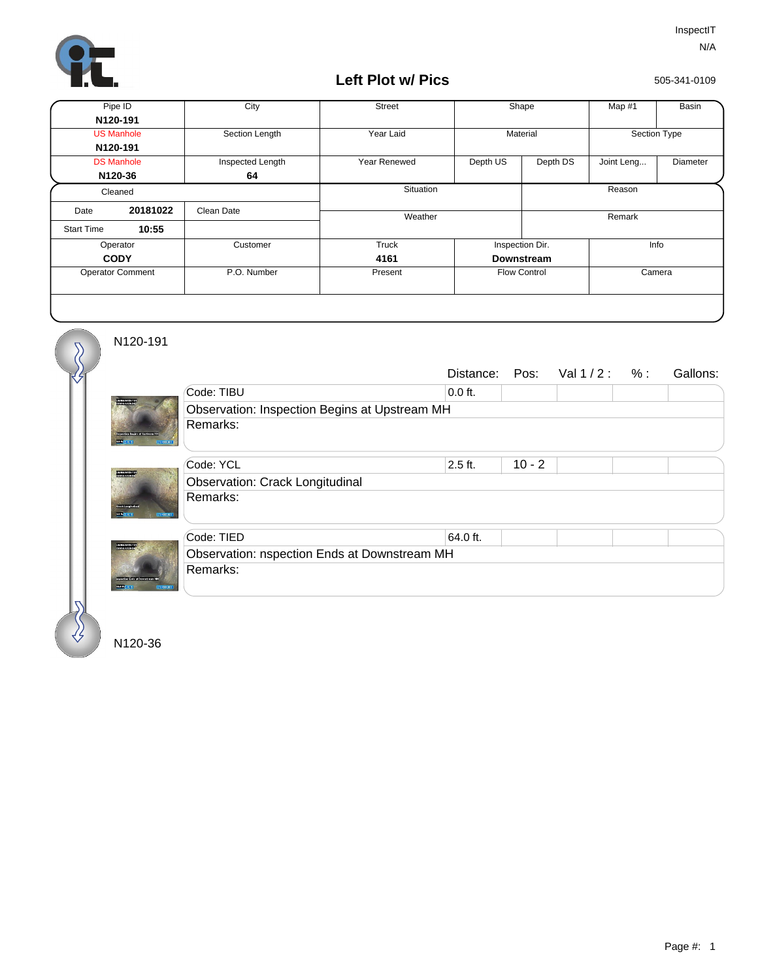

## **Left Plot w/ Pics**

505-341-0109

| Pipe ID                 |          | City             | <b>Street</b> | Shape               |          | Map #1       | <b>Basin</b> |  |
|-------------------------|----------|------------------|---------------|---------------------|----------|--------------|--------------|--|
| N120-191                |          |                  |               |                     |          |              |              |  |
| <b>US Manhole</b>       |          | Section Length   | Year Laid     | Material            |          | Section Type |              |  |
| N120-191                |          |                  |               |                     |          |              |              |  |
| <b>DS Manhole</b>       |          | Inspected Length | Year Renewed  | Depth US            | Depth DS | Joint Leng   | Diameter     |  |
| N120-36                 |          | 64               |               |                     |          |              |              |  |
| Cleaned                 |          |                  | Situation     |                     |          | Reason       |              |  |
| Date                    | 20181022 | Clean Date       | Weather       |                     |          | Remark       |              |  |
| <b>Start Time</b>       | 10:55    |                  |               |                     |          |              |              |  |
| Operator                |          | Customer         | <b>Truck</b>  | Inspection Dir.     |          | Info         |              |  |
| <b>CODY</b>             |          |                  | 4161          | Downstream          |          |              |              |  |
| <b>Operator Comment</b> |          | P.O. Number      | Present       | <b>Flow Control</b> |          | Camera       |              |  |
|                         |          |                  |               |                     |          |              |              |  |

N120-191

∛

 $\overline{\mathcal{S}}$ 

|                                                        |                                               |           |          | Distance: Pos: $Val1/2: %:$ |  | Gallons: |  |  |  |
|--------------------------------------------------------|-----------------------------------------------|-----------|----------|-----------------------------|--|----------|--|--|--|
|                                                        | Code: TIBU                                    | $0.0$ ft. |          |                             |  |          |  |  |  |
| <b>STORIES</b>                                         | Observation: Inspection Begins at Upstream MH |           |          |                             |  |          |  |  |  |
| 2012/11/18<br>351100000 R                              | Remarks:                                      |           |          |                             |  |          |  |  |  |
|                                                        | Code: YCL                                     | $2.5$ ft. | $10 - 2$ |                             |  |          |  |  |  |
| <b>DESCRIPTION</b>                                     | <b>Observation: Crack Longitudinal</b>        |           |          |                             |  |          |  |  |  |
| <b>CONSTRUCTION</b><br>2012/03/1<br><b>REPORTED</b>    | Remarks:                                      |           |          |                             |  |          |  |  |  |
|                                                        | Code: TIED                                    | 64.0 ft.  |          |                             |  |          |  |  |  |
| <b>DISTURBANCE CO.</b><br>partised at 5 of Development | Observation: nspection Ends at Downstream MH  |           |          |                             |  |          |  |  |  |
|                                                        | Remarks:                                      |           |          |                             |  |          |  |  |  |
| 0.01211<br><b>CONTRACTOR</b>                           |                                               |           |          |                             |  |          |  |  |  |

N120-36